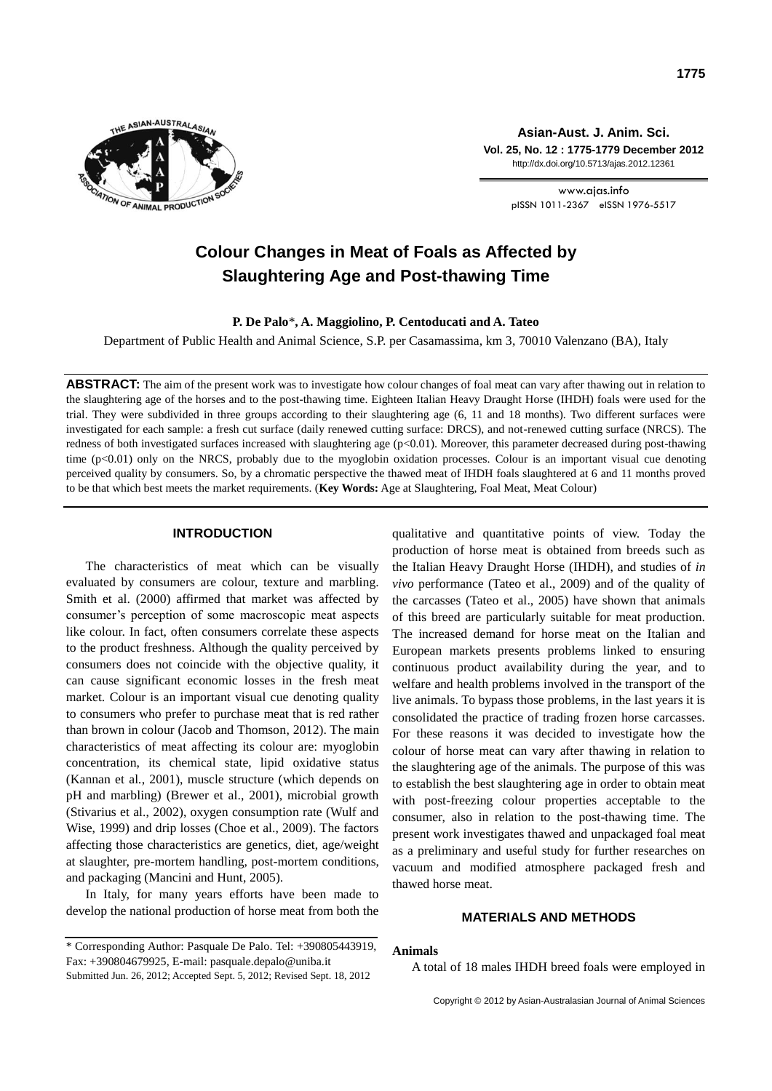

**Asian-Aust. J. Anim. Sci. Vol. 25, No. 12 : 1775-1779 December 2012** http://dx.doi.org/10.5713/ajas.2012.12361

> www.ajas.info pISSN 1011-2367 eISSN 1976-5517

# **Colour Changes in Meat of Foals as Affected by Slaughtering Age and Post-thawing Time**

**P. De Palo**\***, A. Maggiolino, P. Centoducati and A. Tateo**

Department of Public Health and Animal Science, S.P. per Casamassima, km 3, 70010 Valenzano (BA), Italy

**ABSTRACT:** The aim of the present work was to investigate how colour changes of foal meat can vary after thawing out in relation to the slaughtering age of the horses and to the post-thawing time. Eighteen Italian Heavy Draught Horse (IHDH) foals were used for the trial. They were subdivided in three groups according to their slaughtering age (6, 11 and 18 months). Two different surfaces were investigated for each sample: a fresh cut surface (daily renewed cutting surface: DRCS), and not-renewed cutting surface (NRCS). The redness of both investigated surfaces increased with slaughtering age (p<0.01). Moreover, this parameter decreased during post-thawing time (p<0.01) only on the NRCS, probably due to the myoglobin oxidation processes. Colour is an important visual cue denoting perceived quality by consumers. So, by a chromatic perspective the thawed meat of IHDH foals slaughtered at 6 and 11 months proved to be that which best meets the market requirements. (**Key Words:** Age at Slaughtering, Foal Meat, Meat Colour)

## **INTRODUCTION**

The characteristics of meat which can be visually evaluated by consumers are colour, texture and marbling. Smith et al. (2000) affirmed that market was affected by consumer's perception of some macroscopic meat aspects like colour. In fact, often consumers correlate these aspects to the product freshness. Although the quality perceived by consumers does not coincide with the objective quality, it can cause significant economic losses in the fresh meat market. Colour is an important visual cue denoting quality to consumers who prefer to purchase meat that is red rather than brown in colour (Jacob and Thomson, 2012). The main characteristics of meat affecting its colour are: myoglobin concentration, its chemical state, lipid oxidative status (Kannan et al*.*, 2001), muscle structure (which depends on pH and marbling) (Brewer et al., 2001), microbial growth (Stivarius et al., 2002), oxygen consumption rate (Wulf and Wise, 1999) and drip losses (Choe et al., 2009). The factors affecting those characteristics are genetics, diet, age/weight at slaughter, pre-mortem handling, post-mortem conditions, and packaging (Mancini and Hunt, 2005).

In Italy, for many years efforts have been made to develop the national production of horse meat from both the

Submitted Jun. 26, 2012; Accepted Sept. 5, 2012; Revised Sept. 18, 2012

qualitative and quantitative points of view. Today the production of horse meat is obtained from breeds such as the Italian Heavy Draught Horse (IHDH), and studies of *in vivo* performance (Tateo et al., 2009) and of the quality of the carcasses (Tateo et al., 2005) have shown that animals of this breed are particularly suitable for meat production. The increased demand for horse meat on the Italian and European markets presents problems linked to ensuring continuous product availability during the year, and to welfare and health problems involved in the transport of the live animals. To bypass those problems, in the last years it is consolidated the practice of trading frozen horse carcasses. For these reasons it was decided to investigate how the colour of horse meat can vary after thawing in relation to the slaughtering age of the animals. The purpose of this was to establish the best slaughtering age in order to obtain meat with post-freezing colour properties acceptable to the consumer, also in relation to the post-thawing time. The present work investigates thawed and unpackaged foal meat as a preliminary and useful study for further researches on vacuum and modified atmosphere packaged fresh and thawed horse meat.

# **MATERIALS AND METHODS**

## **Animals**

A total of 18 males IHDH breed foals were employed in

<sup>\*</sup> Corresponding Author: Pasquale De Palo. Tel: +390805443919, Fax: +390804679925, E-mail: pasquale.depalo@uniba.it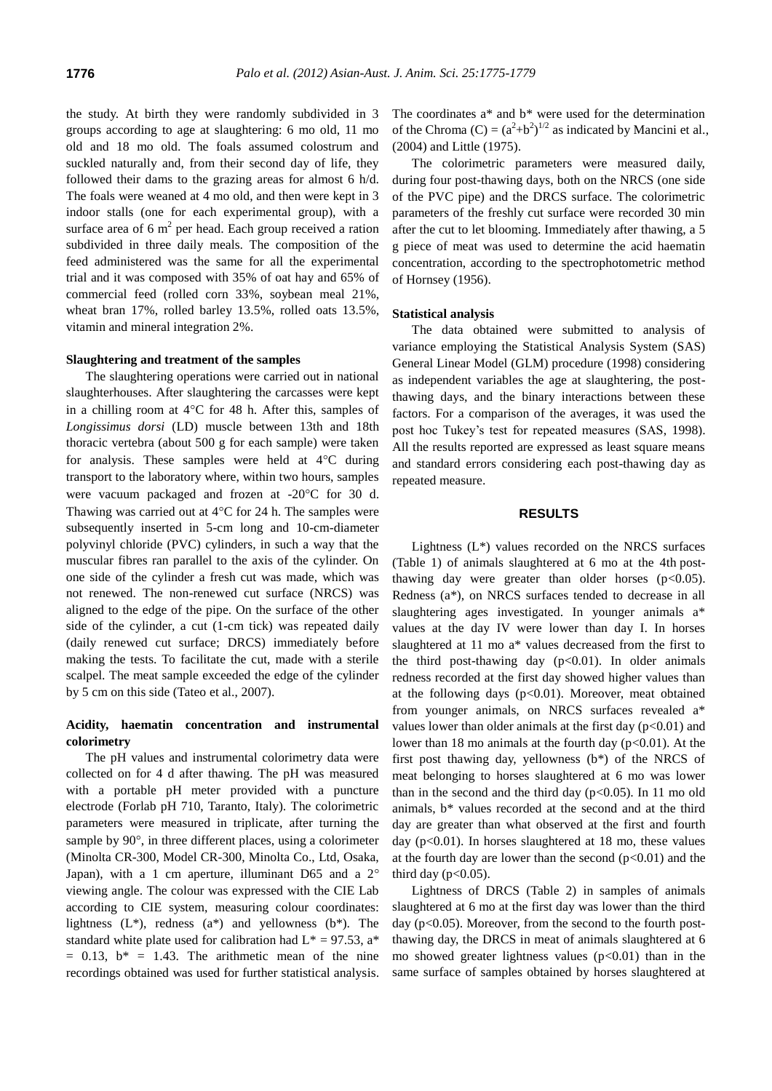the study. At birth they were randomly subdivided in 3 groups according to age at slaughtering: 6 mo old, 11 mo old and 18 mo old. The foals assumed colostrum and suckled naturally and, from their second day of life, they followed their dams to the grazing areas for almost 6 h/d. The foals were weaned at 4 mo old, and then were kept in 3 indoor stalls (one for each experimental group), with a surface area of  $6 \text{ m}^2$  per head. Each group received a ration subdivided in three daily meals. The composition of the feed administered was the same for all the experimental trial and it was composed with 35% of oat hay and 65% of commercial feed (rolled corn 33%, soybean meal 21%, wheat bran 17%, rolled barley 13.5%, rolled oats 13.5%, vitamin and mineral integration 2%.

## **Slaughtering and treatment of the samples**

The slaughtering operations were carried out in national slaughterhouses. After slaughtering the carcasses were kept in a chilling room at  $4^{\circ}$ C for 48 h. After this, samples of *Longissimus dorsi* (LD) muscle between 13th and 18th thoracic vertebra (about 500 g for each sample) were taken for analysis. These samples were held at  $4^{\circ}$ C during transport to the laboratory where, within two hours, samples were vacuum packaged and frozen at  $-20^{\circ}$ C for 30 d. Thawing was carried out at  $4^{\circ}$ C for 24 h. The samples were subsequently inserted in 5-cm long and 10-cm-diameter polyvinyl chloride (PVC) cylinders, in such a way that the muscular fibres ran parallel to the axis of the cylinder. On one side of the cylinder a fresh cut was made, which was not renewed. The non-renewed cut surface (NRCS) was aligned to the edge of the pipe. On the surface of the other side of the cylinder, a cut (1-cm tick) was repeated daily (daily renewed cut surface; DRCS) immediately before making the tests. To facilitate the cut, made with a sterile scalpel. The meat sample exceeded the edge of the cylinder by 5 cm on this side (Tateo et al., 2007).

# **Acidity, haematin concentration and instrumental colorimetry**

The pH values and instrumental colorimetry data were collected on for 4 d after thawing. The pH was measured with a portable pH meter provided with a puncture electrode (Forlab pH 710, Taranto, Italy). The colorimetric parameters were measured in triplicate, after turning the sample by  $90^\circ$ , in three different places, using a colorimeter (Minolta CR-300, Model CR-300, Minolta Co., Ltd, Osaka, Japan), with a 1 cm aperture, illuminant D65 and a  $2^{\circ}$ viewing angle. The colour was expressed with the CIE Lab according to CIE system, measuring colour coordinates: lightness  $(L^*)$ , redness  $(a^*)$  and yellowness  $(b^*)$ . The standard white plate used for calibration had  $L^* = 97.53$ , a<sup>\*</sup>  $= 0.13$ ,  $b^* = 1.43$ . The arithmetic mean of the nine recordings obtained was used for further statistical analysis. The coordinates a\* and b\* were used for the determination of the Chroma  $(C) = (a^2+b^2)^{1/2}$  as indicated by Mancini et al., (2004) and Little (1975).

The colorimetric parameters were measured daily, during four post-thawing days, both on the NRCS (one side of the PVC pipe) and the DRCS surface. The colorimetric parameters of the freshly cut surface were recorded 30 min after the cut to let blooming. Immediately after thawing, a 5 g piece of meat was used to determine the acid haematin concentration, according to the spectrophotometric method of Hornsey (1956).

#### **Statistical analysis**

The data obtained were submitted to analysis of variance employing the Statistical Analysis System (SAS) General Linear Model (GLM) procedure (1998) considering as independent variables the age at slaughtering, the postthawing days, and the binary interactions between these factors. For a comparison of the averages, it was used the post hoc Tukey's test for repeated measures (SAS, 1998). All the results reported are expressed as least square means and standard errors considering each post-thawing day as repeated measure.

## **RESULTS**

Lightness (L\*) values recorded on the NRCS surfaces (Table 1) of animals slaughtered at 6 mo at the 4th postthawing day were greater than older horses  $(p<0.05)$ . Redness (a\*), on NRCS surfaces tended to decrease in all slaughtering ages investigated. In younger animals a\* values at the day IV were lower than day I. In horses slaughtered at 11 mo a\* values decreased from the first to the third post-thawing day  $(p<0.01)$ . In older animals redness recorded at the first day showed higher values than at the following days  $(p<0.01)$ . Moreover, meat obtained from younger animals, on NRCS surfaces revealed a\* values lower than older animals at the first day  $(p<0.01)$  and lower than 18 mo animals at the fourth day ( $p<0.01$ ). At the first post thawing day, yellowness (b\*) of the NRCS of meat belonging to horses slaughtered at 6 mo was lower than in the second and the third day  $(p<0.05)$ . In 11 mo old animals, b\* values recorded at the second and at the third day are greater than what observed at the first and fourth day (p<0.01). In horses slaughtered at 18 mo, these values at the fourth day are lower than the second  $(p<0.01)$  and the third day ( $p<0.05$ ).

Lightness of DRCS (Table 2) in samples of animals slaughtered at 6 mo at the first day was lower than the third day ( $p<0.05$ ). Moreover, from the second to the fourth postthawing day, the DRCS in meat of animals slaughtered at 6 mo showed greater lightness values  $(p<0.01)$  than in the same surface of samples obtained by horses slaughtered at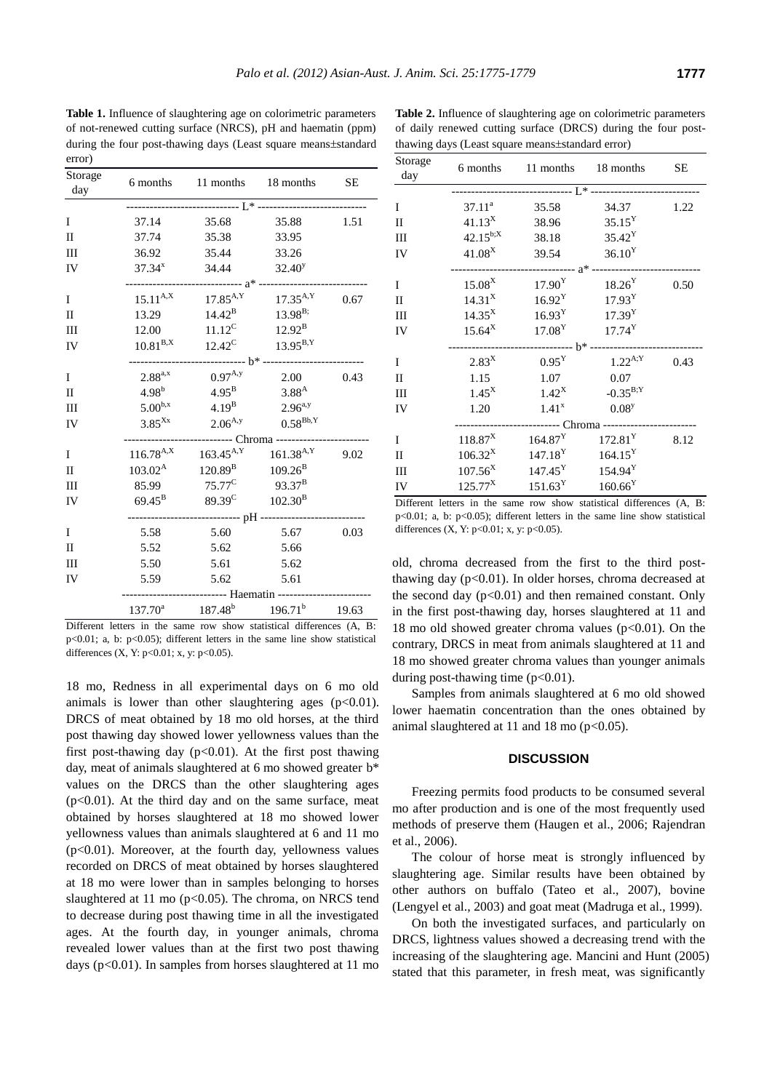**Table 1.** Influence of slaughtering age on colorimetric parameters of not-renewed cutting surface (NRCS), pH and haematin (ppm) during the four post-thawing days (Least square means±standard error)

| Storage<br>day |                                              |                                                             | 6 months 11 months 18 months     | <b>SE</b> |  |  |
|----------------|----------------------------------------------|-------------------------------------------------------------|----------------------------------|-----------|--|--|
|                |                                              |                                                             |                                  |           |  |  |
| T              | 37.14                                        | 35.68                                                       | 35.88                            | 1.51      |  |  |
| $\mathbf{I}$   | 37.74                                        | 35.38                                                       | 33.95                            |           |  |  |
| III            | 36.92                                        | 35.44                                                       | 33.26                            |           |  |  |
| IV             | $37.34^{x}$                                  | 34.44                                                       | $32.40^y$                        |           |  |  |
| I              |                                              | $15.11^{A,X}$ $17.85^{A,Y}$ $17.35^{A,Y}$                   |                                  | 0.67      |  |  |
| $\mathbf{I}$   | 13.29                                        |                                                             | $14.42^B$ $13.98^B$ ;            |           |  |  |
| Ш              | 12.00                                        |                                                             | $11.12^C$ $12.92^B$              |           |  |  |
| IV             | $10.81^{B,X}$                                |                                                             | $12.42^C$ $13.95^{B,Y}$          |           |  |  |
|                |                                              |                                                             |                                  |           |  |  |
| I              |                                              | $2.88^{a,x}$ 0.97 <sup>A,y</sup>                            | 2.00                             | 0.43      |  |  |
| $\mathbf{I}$   |                                              | $4.98^b$ $4.95^B$                                           | 3.88 <sup>A</sup>                |           |  |  |
| III            | $5.00^{b,x}$                                 | $4.19^{B}$                                                  | $2.96^{a,y}$                     |           |  |  |
| IV             | $3.85^{Xx}$                                  | $2.06^{A,y}$                                                | $0.58^{\mathrm{Bb},\mathrm{Y}}$  |           |  |  |
|                | $116.78^{A,X}$ $163.45^{A,Y}$ $161.38^{A,Y}$ |                                                             |                                  |           |  |  |
| <sup>T</sup>   |                                              |                                                             |                                  | 9.02      |  |  |
| $\mathbf{I}$   |                                              | $103.02^{\text{A}}$ $120.89^{\text{B}}$ $109.26^{\text{B}}$ |                                  |           |  |  |
| III            |                                              | 85.99 $75.77^{\circ}$                                       | $93.37^{\rm B}$                  |           |  |  |
| IV             | $69.45^{\rm B}$                              | 89.39 <sup>C</sup> $102.30^B$                               |                                  |           |  |  |
|                |                                              |                                                             |                                  |           |  |  |
| I              | 5.58                                         | 5.60                                                        | 5.67                             | 0.03      |  |  |
| $_{\rm II}$    | 5.52                                         | 5.62                                                        | 5.66                             |           |  |  |
| Ш              | 5.50                                         | 5.61                                                        | 5.62                             |           |  |  |
| IV             | 5.59                                         | 5.62                                                        | 5.61                             |           |  |  |
|                |                                              |                                                             |                                  |           |  |  |
|                |                                              |                                                             | $137.70^a$ $187.48^b$ $196.71^b$ | 19.63     |  |  |

Different letters in the same row show statistical differences (A, B: p<0.01; a, b: p<0.05); different letters in the same line show statistical differences (X, Y: p<0.01; x, y: p<0.05).

18 mo, Redness in all experimental days on 6 mo old animals is lower than other slaughtering ages  $(p<0.01)$ . DRCS of meat obtained by 18 mo old horses, at the third post thawing day showed lower yellowness values than the first post-thawing day  $(p<0.01)$ . At the first post thawing day, meat of animals slaughtered at 6 mo showed greater b\* values on the DRCS than the other slaughtering ages  $(p<0.01)$ . At the third day and on the same surface, meat obtained by horses slaughtered at 18 mo showed lower yellowness values than animals slaughtered at 6 and 11 mo  $(p<0.01)$ . Moreover, at the fourth day, yellowness values recorded on DRCS of meat obtained by horses slaughtered at 18 mo were lower than in samples belonging to horses slaughtered at 11 mo ( $p<0.05$ ). The chroma, on NRCS tend to decrease during post thawing time in all the investigated ages. At the fourth day, in younger animals, chroma revealed lower values than at the first two post thawing days ( $p<0.01$ ). In samples from horses slaughtered at 11 mo

|                |                      | thawing days (Least square means±standard error) |                    |           |  |  |
|----------------|----------------------|--------------------------------------------------|--------------------|-----------|--|--|
| Storage<br>day | 6 months             | 11 months                                        | 18 months          | <b>SE</b> |  |  |
|                |                      |                                                  |                    |           |  |  |
| T              | $37.11^a$            | 35.58                                            | 34.37              | 1.22      |  |  |
| H              | $41.13^{X}$          | 38.96                                            | $35.15^Y$          |           |  |  |
| III            | $42.15^{b;X}$        | 38.18                                            | $35.42^Y$          |           |  |  |
| <b>IV</b>      | 41.08 <sup>X</sup>   | 39.54                                            | 36.10 <sup>Y</sup> |           |  |  |
|                |                      | ------ a* -------                                |                    |           |  |  |
| I              | $15.08^X$            | $17.90^Y$                                        | $18.26^{\rm Y}$    | 0.50      |  |  |
| $\mathbf{I}$   | $14.31^X$            | $16.92^{\rm Y}$                                  | $17.93^Y$          |           |  |  |
| Ш              | $14.35^X$            | $16.93^{\rm Y}$                                  | 17.39 <sup>Y</sup> |           |  |  |
| IV             | $15.64^X$            | $17.08^Y$                                        | $17.74^Y$          |           |  |  |
|                |                      |                                                  |                    |           |  |  |
| I              | $2.83^{\rm X}$       | $0.95^{\text{Y}}$                                | $1.22^{A;Y}$       | 0.43      |  |  |
| H              | 1.15                 | 1.07                                             | 0.07               |           |  |  |
| Ш              | $1.45^X$             | $1.42^X$                                         | $-0.35^{B;Y}$      |           |  |  |
| IV             | 1.20                 | 1.41 <sup>x</sup>                                | $0.08^{y}$         |           |  |  |
|                | ------- Chroma ----- |                                                  |                    |           |  |  |
| T              | $118.87^{\rm X}$     | $164.87^Y$                                       | $172.81^Y$         | 8.12      |  |  |
| H              | $106.32^X$           | $147.18^Y$                                       | $164.15^Y$         |           |  |  |
| Ш              | $107.56^{\rm X}$     | $147.45^Y$                                       | $154.94^Y$         |           |  |  |
| IV             | $125.77^X$           | 151.63 <sup>Y</sup>                              | $160.66^Y$         |           |  |  |
|                |                      |                                                  |                    |           |  |  |

**Table 2.** Influence of slaughtering age on colorimetric parameters of daily renewed cutting surface (DRCS) during the four post-

Different letters in the same row show statistical differences (A, B: p<0.01; a, b: p<0.05); different letters in the same line show statistical differences (X, Y: p<0.01; x, y: p<0.05).

old, chroma decreased from the first to the third postthawing day  $(p<0.01)$ . In older horses, chroma decreased at the second day  $(p<0.01)$  and then remained constant. Only in the first post-thawing day, horses slaughtered at 11 and 18 mo old showed greater chroma values ( $p<0.01$ ). On the contrary, DRCS in meat from animals slaughtered at 11 and 18 mo showed greater chroma values than younger animals during post-thawing time  $(p<0.01)$ .

Samples from animals slaughtered at 6 mo old showed lower haematin concentration than the ones obtained by animal slaughtered at 11 and 18 mo  $(p<0.05)$ .

# **DISCUSSION**

Freezing permits food products to be consumed several mo after production and is one of the most frequently used methods of preserve them (Haugen et al., 2006; Rajendran et al., 2006).

The colour of horse meat is strongly influenced by slaughtering age. Similar results have been obtained by other authors on buffalo (Tateo et al., 2007), bovine (Lengyel et al., 2003) and goat meat (Madruga et al., 1999).

On both the investigated surfaces, and particularly on DRCS, lightness values showed a decreasing trend with the increasing of the slaughtering age. Mancini and Hunt (2005) stated that this parameter, in fresh meat, was significantly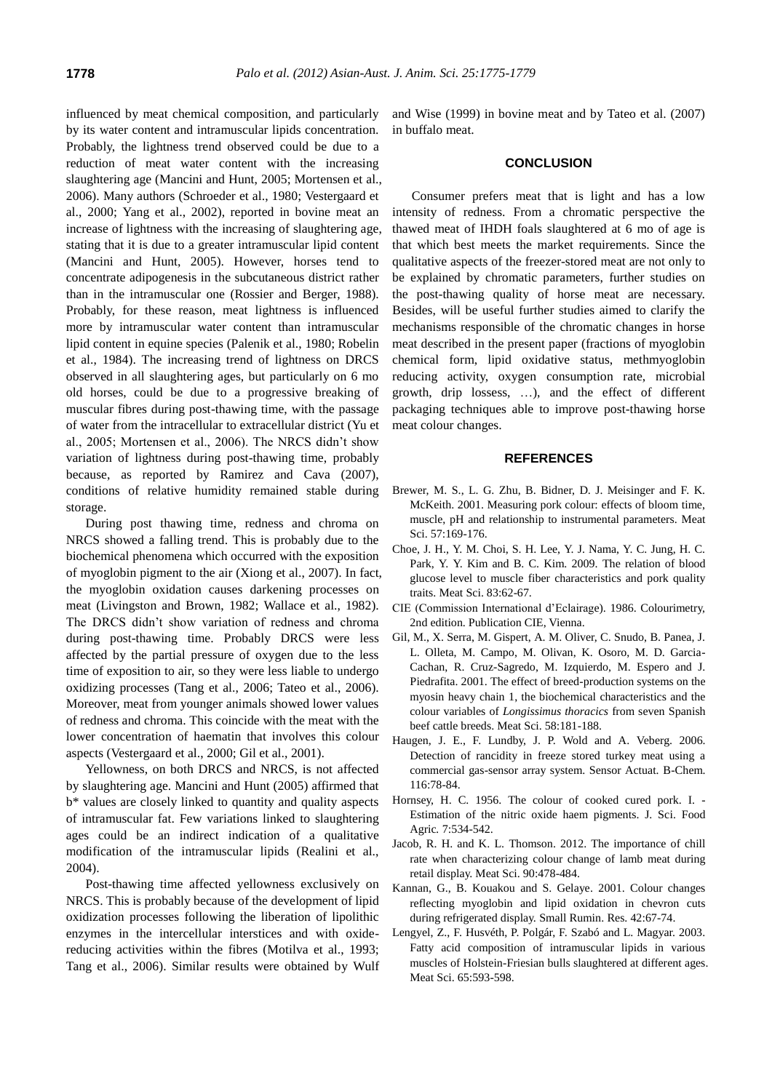influenced by meat chemical composition, and particularly by its water content and intramuscular lipids concentration. Probably, the lightness trend observed could be due to a reduction of meat water content with the increasing slaughtering age (Mancini and Hunt, 2005; Mortensen et al., 2006). Many authors (Schroeder et al., 1980; Vestergaard et al., 2000; Yang et al., 2002), reported in bovine meat an increase of lightness with the increasing of slaughtering age, stating that it is due to a greater intramuscular lipid content (Mancini and Hunt, 2005). However, horses tend to concentrate adipogenesis in the subcutaneous district rather than in the intramuscular one (Rossier and Berger, 1988). Probably, for these reason, meat lightness is influenced more by intramuscular water content than intramuscular lipid content in equine species (Palenik et al., 1980; Robelin et al., 1984). The increasing trend of lightness on DRCS observed in all slaughtering ages, but particularly on 6 mo old horses, could be due to a progressive breaking of muscular fibres during post-thawing time, with the passage of water from the intracellular to extracellular district (Yu et al., 2005; Mortensen et al., 2006). The NRCS didn't show variation of lightness during post-thawing time, probably because, as reported by Ramirez and Cava (2007), conditions of relative humidity remained stable during storage.

During post thawing time, redness and chroma on NRCS showed a falling trend. This is probably due to the biochemical phenomena which occurred with the exposition of myoglobin pigment to the air (Xiong et al., 2007). In fact, the myoglobin oxidation causes darkening processes on meat (Livingston and Brown, 1982; Wallace et al., 1982). The DRCS didn't show variation of redness and chroma during post-thawing time. Probably DRCS were less affected by the partial pressure of oxygen due to the less time of exposition to air, so they were less liable to undergo oxidizing processes (Tang et al., 2006; Tateo et al., 2006). Moreover, meat from younger animals showed lower values of redness and chroma. This coincide with the meat with the lower concentration of haematin that involves this colour aspects (Vestergaard et al., 2000; Gil et al., 2001).

Yellowness, on both DRCS and NRCS, is not affected by slaughtering age. Mancini and Hunt (2005) affirmed that b\* values are closely linked to quantity and quality aspects of intramuscular fat. Few variations linked to slaughtering ages could be an indirect indication of a qualitative modification of the intramuscular lipids (Realini et al., 2004).

Post-thawing time affected yellowness exclusively on NRCS. This is probably because of the development of lipid oxidization processes following the liberation of lipolithic enzymes in the intercellular interstices and with oxidereducing activities within the fibres (Motilva et al., 1993; Tang et al., 2006). Similar results were obtained by Wulf and Wise (1999) in bovine meat and by Tateo et al. (2007) in buffalo meat.

## **CONCLUSION**

Consumer prefers meat that is light and has a low intensity of redness. From a chromatic perspective the thawed meat of IHDH foals slaughtered at 6 mo of age is that which best meets the market requirements. Since the qualitative aspects of the freezer-stored meat are not only to be explained by chromatic parameters, further studies on the post-thawing quality of horse meat are necessary. Besides, will be useful further studies aimed to clarify the mechanisms responsible of the chromatic changes in horse meat described in the present paper (fractions of myoglobin chemical form, lipid oxidative status, methmyoglobin reducing activity, oxygen consumption rate, microbial growth, drip lossess, …), and the effect of different packaging techniques able to improve post-thawing horse meat colour changes.

#### **REFERENCES**

- Brewer, M. S., L. G. Zhu, B. Bidner, D. J. Meisinger and F. K. McKeith. 2001. Measuring pork colour: effects of bloom time, muscle, pH and relationship to instrumental parameters. Meat Sci. 57:169-176.
- Choe, J. H., Y. M. Choi, S. H. Lee, Y. J. Nama, Y. C. Jung, H. C. Park, Y. Y. Kim and B. C. Kim. 2009. The relation of blood glucose level to muscle fiber characteristics and pork quality traits. Meat Sci. 83:62-67.
- CIE (Commission International d'Eclairage). 1986. Colourimetry, 2nd edition. Publication CIE, Vienna.
- Gil, M., X. Serra, M. Gispert, A. M. Oliver, C. Snudo, B. Panea, J. L. Olleta, M. Campo, M. Olivan, K. Osoro, M. D. Garcia-Cachan, R. Cruz-Sagredo, M. Izquierdo, M. Espero and J. Piedrafita. 2001. The effect of breed-production systems on the myosin heavy chain 1, the biochemical characteristics and the colour variables of *Longissimus thoracics* from seven Spanish beef cattle breeds. Meat Sci. 58:181-188.
- Haugen, J. E., F. Lundby, J. P. Wold and A. Veberg. 2006. Detection of rancidity in freeze stored turkey meat using a commercial gas-sensor array system. Sensor Actuat. B-Chem. 116:78-84.
- Hornsey, H. C. 1956. The colour of cooked cured pork. I. Estimation of the nitric oxide haem pigments. J. Sci. Food Agric*.* 7:534-542.
- Jacob, R. H. and K. L. Thomson. 2012. The importance of chill rate when characterizing colour change of lamb meat during retail display. Meat Sci. 90:478-484.
- Kannan, G., B. Kouakou and S. Gelaye. 2001. Colour changes reflecting myoglobin and lipid oxidation in chevron cuts during refrigerated display. Small Rumin. Res. 42:67-74.
- Lengyel, Z., F. Husvéth, P. Polgár, F. Szabó and L. Magyar. 2003. Fatty acid composition of intramuscular lipids in various muscles of Holstein-Friesian bulls slaughtered at different ages. Meat Sci. 65:593-598.